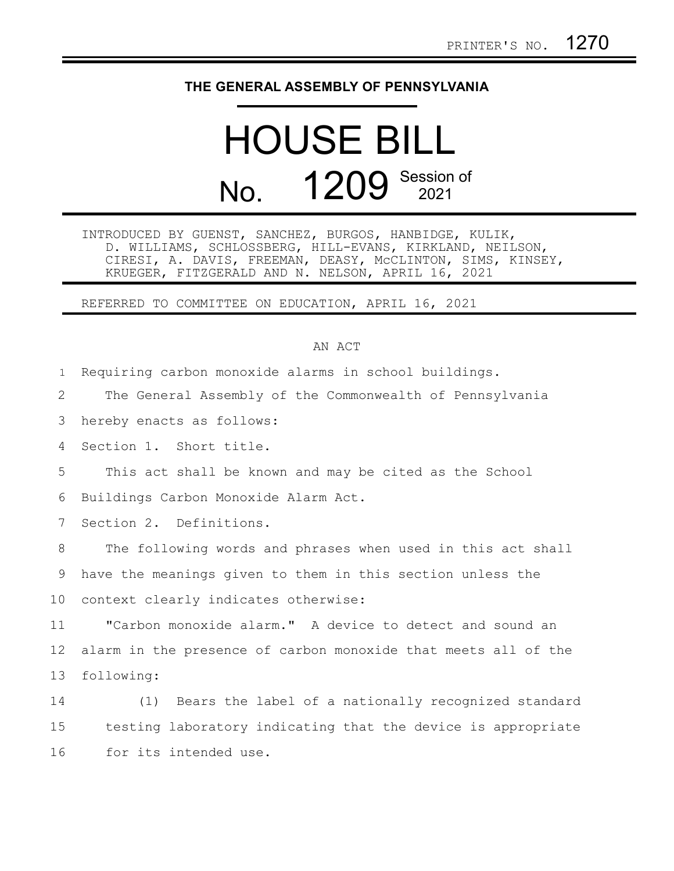## **THE GENERAL ASSEMBLY OF PENNSYLVANIA**

## HOUSE BILL No. **1209** Session of

INTRODUCED BY GUENST, SANCHEZ, BURGOS, HANBIDGE, KULIK, D. WILLIAMS, SCHLOSSBERG, HILL-EVANS, KIRKLAND, NEILSON, CIRESI, A. DAVIS, FREEMAN, DEASY, McCLINTON, SIMS, KINSEY, KRUEGER, FITZGERALD AND N. NELSON, APRIL 16, 2021

REFERRED TO COMMITTEE ON EDUCATION, APRIL 16, 2021

## AN ACT

Requiring carbon monoxide alarms in school buildings. 1

The General Assembly of the Commonwealth of Pennsylvania 2

hereby enacts as follows: 3

Section 1. Short title. 4

This act shall be known and may be cited as the School 5

Buildings Carbon Monoxide Alarm Act. 6

Section 2. Definitions. 7

The following words and phrases when used in this act shall have the meanings given to them in this section unless the context clearly indicates otherwise: 8 9 10

"Carbon monoxide alarm." A device to detect and sound an alarm in the presence of carbon monoxide that meets all of the following: 11 12 13

(1) Bears the label of a nationally recognized standard testing laboratory indicating that the device is appropriate for its intended use. 14 15 16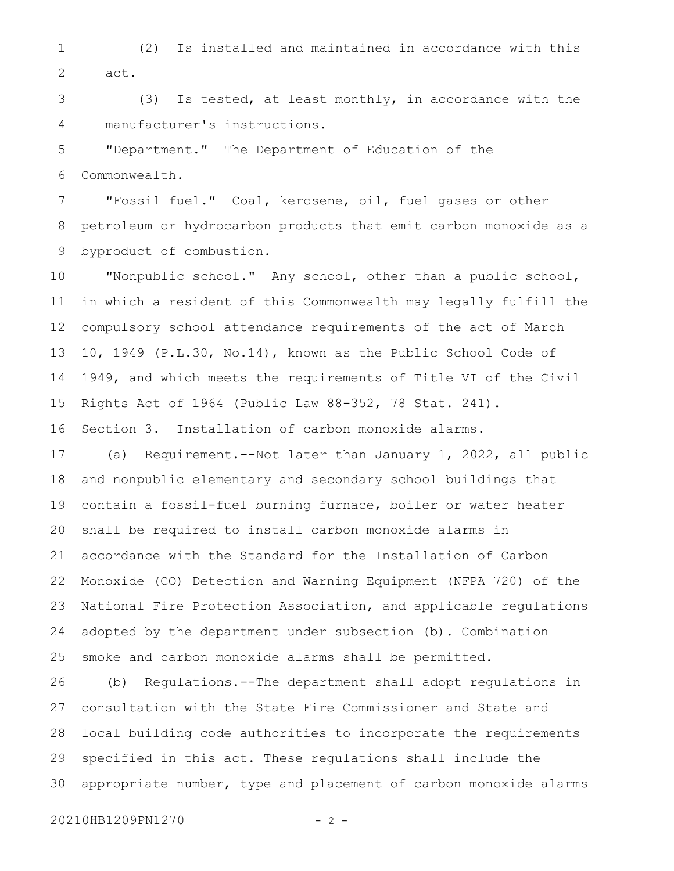(2) Is installed and maintained in accordance with this act. 1 2

(3) Is tested, at least monthly, in accordance with the manufacturer's instructions. 3 4

"Department." The Department of Education of the Commonwealth. 5 6

"Fossil fuel." Coal, kerosene, oil, fuel gases or other petroleum or hydrocarbon products that emit carbon monoxide as a byproduct of combustion. 7 8 9

"Nonpublic school." Any school, other than a public school, in which a resident of this Commonwealth may legally fulfill the compulsory school attendance requirements of the act of March 10, 1949 (P.L.30, No.14), known as the Public School Code of 1949, and which meets the requirements of Title VI of the Civil Rights Act of 1964 (Public Law 88-352, 78 Stat. 241). 10 11 12 13 14 15

Section 3. Installation of carbon monoxide alarms. 16

(a) Requirement.--Not later than January 1, 2022, all public and nonpublic elementary and secondary school buildings that contain a fossil-fuel burning furnace, boiler or water heater shall be required to install carbon monoxide alarms in accordance with the Standard for the Installation of Carbon Monoxide (CO) Detection and Warning Equipment (NFPA 720) of the National Fire Protection Association, and applicable regulations adopted by the department under subsection (b). Combination smoke and carbon monoxide alarms shall be permitted. 17 18 19 20 21 22 23 24 25

(b) Regulations.--The department shall adopt regulations in consultation with the State Fire Commissioner and State and local building code authorities to incorporate the requirements specified in this act. These regulations shall include the appropriate number, type and placement of carbon monoxide alarms 26 27 28 29 30

20210HB1209PN1270 - 2 -